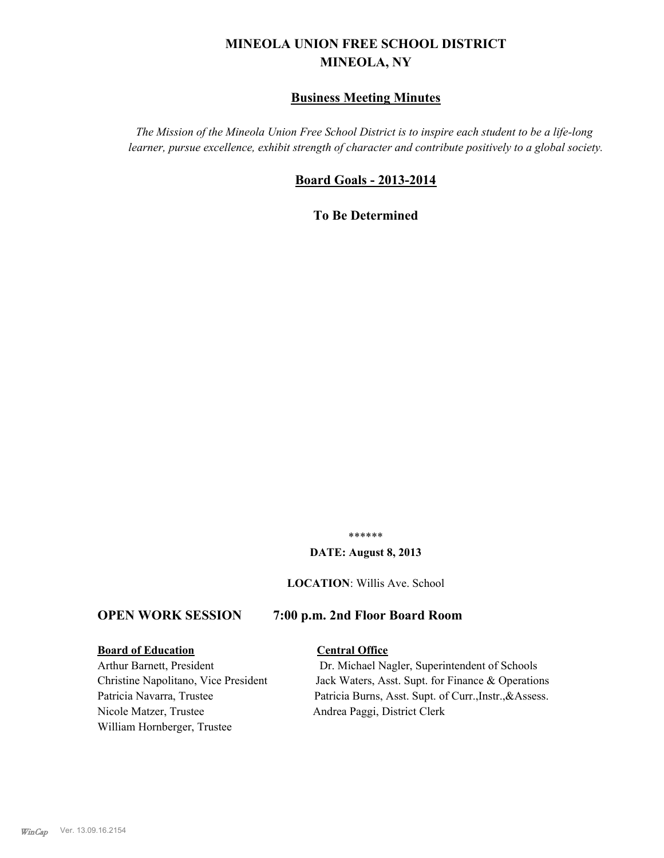# **MINEOLA UNION FREE SCHOOL DISTRICT MINEOLA, NY**

# **Business Meeting Minutes**

*The Mission of the Mineola Union Free School District is to inspire each student to be a life-long learner, pursue excellence, exhibit strength of character and contribute positively to a global society.*

# **Board Goals - 2013-2014**

**To Be Determined**

\*\*\*\*\*\*

#### **DATE: August 8, 2013**

**LOCATION**: Willis Ave. School

# **OPEN WORK SESSION 7:00 p.m. 2nd Floor Board Room**

#### **Board of Education Central Office**

Nicole Matzer, Trustee Andrea Paggi, District Clerk William Hornberger, Trustee

Arthur Barnett, President Dr. Michael Nagler, Superintendent of Schools Christine Napolitano, Vice President Jack Waters, Asst. Supt. for Finance & Operations Patricia Navarra, Trustee Patricia Burns, Asst. Supt. of Curr., Instr., &Assess.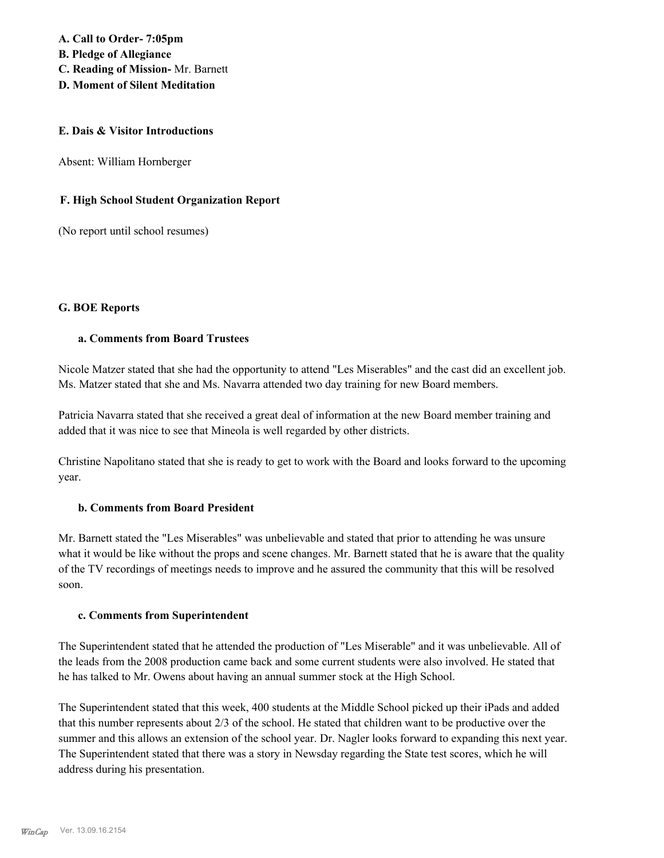**A. Call to Order- 7:05pm B. Pledge of Allegiance C. Reading of Mission-** Mr. Barnett **D. Moment of Silent Meditation**

#### **E. Dais & Visitor Introductions**

Absent: William Hornberger

### **F. High School Student Organization Report**

(No report until school resumes)

#### **G. BOE Reports**

### **a. Comments from Board Trustees**

Nicole Matzer stated that she had the opportunity to attend "Les Miserables" and the cast did an excellent job. Ms. Matzer stated that she and Ms. Navarra attended two day training for new Board members.

Patricia Navarra stated that she received a great deal of information at the new Board member training and added that it was nice to see that Mineola is well regarded by other districts.

Christine Napolitano stated that she is ready to get to work with the Board and looks forward to the upcoming year.

#### **b. Comments from Board President**

Mr. Barnett stated the "Les Miserables" was unbelievable and stated that prior to attending he was unsure what it would be like without the props and scene changes. Mr. Barnett stated that he is aware that the quality of the TV recordings of meetings needs to improve and he assured the community that this will be resolved soon.

#### **c. Comments from Superintendent**

The Superintendent stated that he attended the production of "Les Miserable" and it was unbelievable. All of the leads from the 2008 production came back and some current students were also involved. He stated that he has talked to Mr. Owens about having an annual summer stock at the High School.

The Superintendent stated that this week, 400 students at the Middle School picked up their iPads and added that this number represents about 2/3 of the school. He stated that children want to be productive over the summer and this allows an extension of the school year. Dr. Nagler looks forward to expanding this next year. The Superintendent stated that there was a story in Newsday regarding the State test scores, which he will address during his presentation.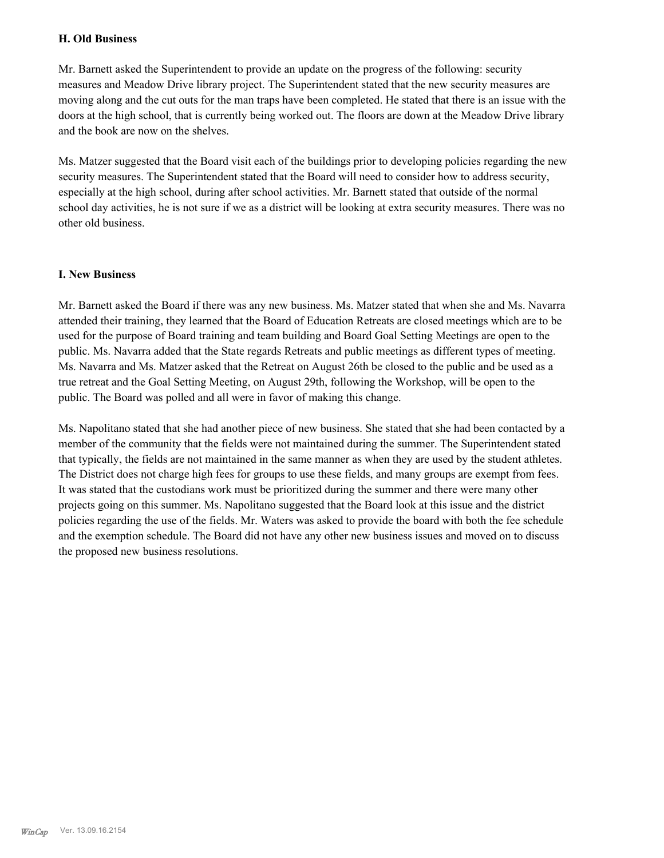### **H. Old Business**

Mr. Barnett asked the Superintendent to provide an update on the progress of the following: security measures and Meadow Drive library project. The Superintendent stated that the new security measures are moving along and the cut outs for the man traps have been completed. He stated that there is an issue with the doors at the high school, that is currently being worked out. The floors are down at the Meadow Drive library and the book are now on the shelves.

Ms. Matzer suggested that the Board visit each of the buildings prior to developing policies regarding the new security measures. The Superintendent stated that the Board will need to consider how to address security, especially at the high school, during after school activities. Mr. Barnett stated that outside of the normal school day activities, he is not sure if we as a district will be looking at extra security measures. There was no other old business.

### **I. New Business**

Mr. Barnett asked the Board if there was any new business. Ms. Matzer stated that when she and Ms. Navarra attended their training, they learned that the Board of Education Retreats are closed meetings which are to be used for the purpose of Board training and team building and Board Goal Setting Meetings are open to the public. Ms. Navarra added that the State regards Retreats and public meetings as different types of meeting. Ms. Navarra and Ms. Matzer asked that the Retreat on August 26th be closed to the public and be used as a true retreat and the Goal Setting Meeting, on August 29th, following the Workshop, will be open to the public. The Board was polled and all were in favor of making this change.

Ms. Napolitano stated that she had another piece of new business. She stated that she had been contacted by a member of the community that the fields were not maintained during the summer. The Superintendent stated that typically, the fields are not maintained in the same manner as when they are used by the student athletes. The District does not charge high fees for groups to use these fields, and many groups are exempt from fees. It was stated that the custodians work must be prioritized during the summer and there were many other projects going on this summer. Ms. Napolitano suggested that the Board look at this issue and the district policies regarding the use of the fields. Mr. Waters was asked to provide the board with both the fee schedule and the exemption schedule. The Board did not have any other new business issues and moved on to discuss the proposed new business resolutions.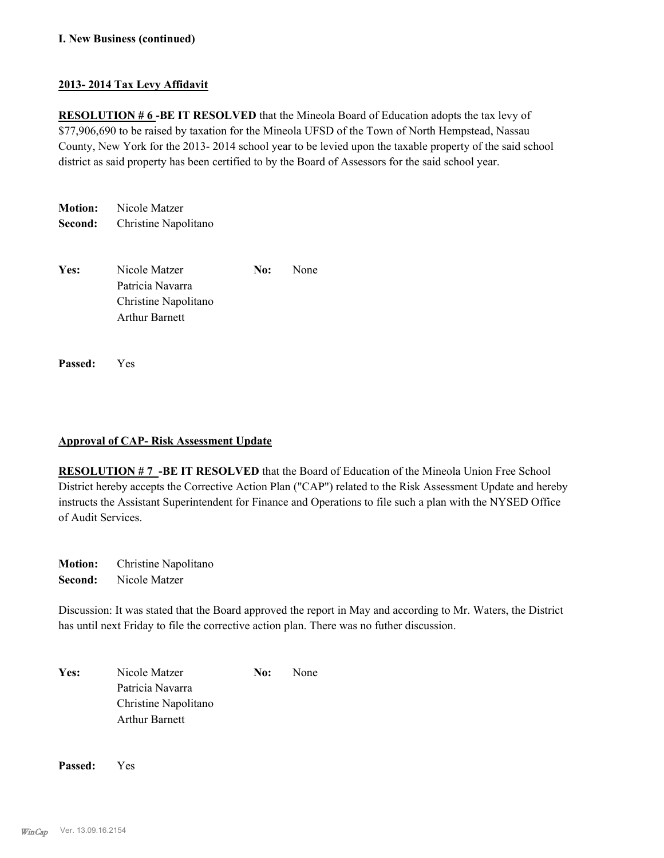## **I. New Business (continued)**

## **2013- 2014 Tax Levy Affidavit**

**RESOLUTION # 6-BE IT RESOLVED** that the Mineola Board of Education adopts the tax levy of \$77,906,690 to be raised by taxation for the Mineola UFSD of the Town of North Hempstead, Nassau County, New York for the 2013- 2014 school year to be levied upon the taxable property of the said school district as said property has been certified to by the Board of Assessors for the said school year.

**Motion:** Nicole Matzer **Second:** Christine Napolitano

| Yes: | Nicole Matzer         | No: | <b>None</b> |
|------|-----------------------|-----|-------------|
|      | Patricia Navarra      |     |             |
|      | Christine Napolitano  |     |             |
|      | <b>Arthur Barnett</b> |     |             |
|      |                       |     |             |

**Passed:** Yes

#### **Approval of CAP- Risk Assessment Update**

**RESOLUTION # 7 -BE IT RESOLVED** that the Board of Education of the Mineola Union Free School District hereby accepts the Corrective Action Plan ("CAP") related to the Risk Assessment Update and hereby instructs the Assistant Superintendent for Finance and Operations to file such a plan with the NYSED Office of Audit Services.

**Motion:** Christine Napolitano **Second:** Nicole Matzer

Discussion: It was stated that the Board approved the report in May and according to Mr. Waters, the District has until next Friday to file the corrective action plan. There was no futher discussion.

Yes: Nicole Matzer **No:** None Patricia Navarra Christine Napolitano Arthur Barnett

**Passed:** Yes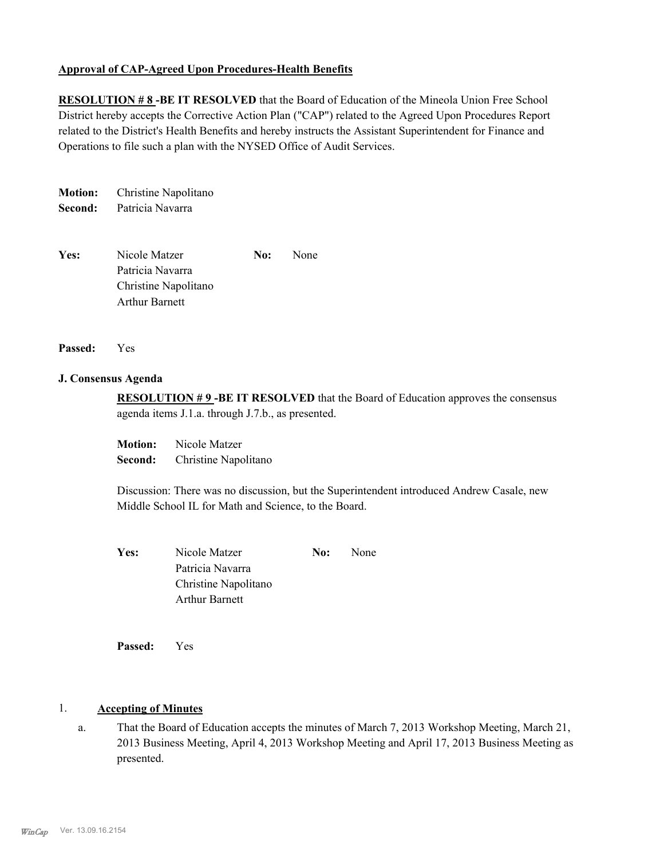### **Approval of CAP-Agreed Upon Procedures-Health Benefits**

**RESOLUTION # 8 -BE IT RESOLVED** that the Board of Education of the Mineola Union Free School District hereby accepts the Corrective Action Plan ("CAP") related to the Agreed Upon Procedures Report related to the District's Health Benefits and hereby instructs the Assistant Superintendent for Finance and Operations to file such a plan with the NYSED Office of Audit Services.

**Motion:** Christine Napolitano **Second:** Patricia Navarra

**Yes:** Nicole Matzer **No:** None Patricia Navarra Christine Napolitano Arthur Barnett

#### **Passed:** Yes

#### **J. Consensus Agenda**

**RESOLUTION # 9 -BE IT RESOLVED** that the Board of Education approves the consensus agenda items J.1.a. through J.7.b., as presented.

**Motion:** Nicole Matzer **Second:** Christine Napolitano

Discussion: There was no discussion, but the Superintendent introduced Andrew Casale, new Middle School IL for Math and Science, to the Board.

| Yes: | Nicole Matzer         | No: | None |
|------|-----------------------|-----|------|
|      | Patricia Navarra      |     |      |
|      | Christine Napolitano  |     |      |
|      | <b>Arthur Barnett</b> |     |      |
|      |                       |     |      |

**Passed:** Yes

## 1. **Accepting of Minutes**

That the Board of Education accepts the minutes of March 7, 2013 Workshop Meeting, March 21, 2013 Business Meeting, April 4, 2013 Workshop Meeting and April 17, 2013 Business Meeting as presented. a.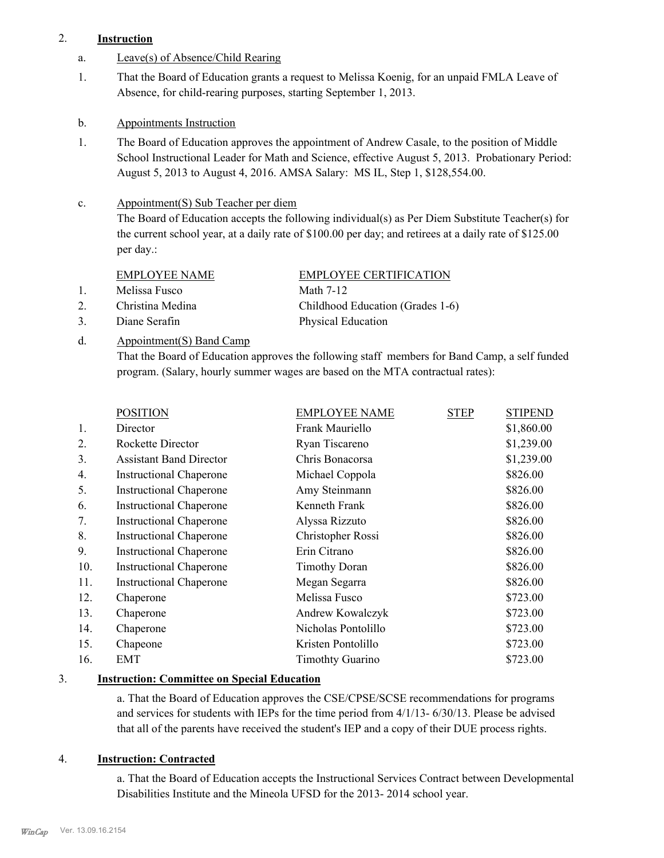# 2. **Instruction**

- a. Leave(s) of Absence/Child Rearing
- That the Board of Education grants a request to Melissa Koenig, for an unpaid FMLA Leave of Absence, for child-rearing purposes, starting September 1, 2013. 1.
- b. Appointments Instruction
- The Board of Education approves the appointment of Andrew Casale, to the position of Middle School Instructional Leader for Math and Science, effective August 5, 2013. Probationary Period: August 5, 2013 to August 4, 2016. AMSA Salary: MS IL, Step 1, \$128,554.00. 1.

#### Appointment(S) Sub Teacher per diem c.

The Board of Education accepts the following individual(s) as Per Diem Substitute Teacher(s) for the current school year, at a daily rate of \$100.00 per day; and retirees at a daily rate of \$125.00 per day.:

|              | <b>EMPLOYEE NAME</b> | <b>EMPLOYEE CERTIFICATION</b>    |
|--------------|----------------------|----------------------------------|
| $\mathbf{1}$ | Melissa Fusco        | Math 7-12                        |
| 2            | Christina Medina     | Childhood Education (Grades 1-6) |
| 3.           | Diane Serafin        | Physical Education               |

Appointment(S) Band Camp d.

> That the Board of Education approves the following staff members for Band Camp, a self funded program. (Salary, hourly summer wages are based on the MTA contractual rates):

|     | <b>POSITION</b>                | <b>EMPLOYEE NAME</b>    | <b>STEP</b> | <b>STIPEND</b> |
|-----|--------------------------------|-------------------------|-------------|----------------|
| 1.  | Director                       | Frank Mauriello         |             | \$1,860.00     |
| 2.  | Rockette Director              | Ryan Tiscareno          |             | \$1,239.00     |
| 3.  | <b>Assistant Band Director</b> | Chris Bonacorsa         |             | \$1,239.00     |
| 4.  | <b>Instructional Chaperone</b> | Michael Coppola         |             | \$826.00       |
| 5.  | <b>Instructional Chaperone</b> | Amy Steinmann           |             | \$826.00       |
| 6.  | <b>Instructional Chaperone</b> | Kenneth Frank           |             | \$826.00       |
| 7.  | <b>Instructional Chaperone</b> | Alyssa Rizzuto          |             | \$826.00       |
| 8.  | <b>Instructional Chaperone</b> | Christopher Rossi       |             | \$826.00       |
| 9.  | <b>Instructional Chaperone</b> | Erin Citrano            |             | \$826.00       |
| 10. | <b>Instructional Chaperone</b> | <b>Timothy Doran</b>    |             | \$826.00       |
| 11. | <b>Instructional Chaperone</b> | Megan Segarra           |             | \$826.00       |
| 12. | Chaperone                      | Melissa Fusco           |             | \$723.00       |
| 13. | Chaperone                      | Andrew Kowalczyk        |             | \$723.00       |
| 14. | Chaperone                      | Nicholas Pontolillo     |             | \$723.00       |
| 15. | Chapeone                       | Kristen Pontolillo      |             | \$723.00       |
| 16. | <b>EMT</b>                     | <b>Timothty Guarino</b> |             | \$723.00       |
|     |                                |                         |             |                |

# 3. **Instruction: Committee on Special Education**

a. That the Board of Education approves the CSE/CPSE/SCSE recommendations for programs and services for students with IEPs for the time period from 4/1/13- 6/30/13. Please be advised that all of the parents have received the student's IEP and a copy of their DUE process rights.

# 4. **Instruction: Contracted**

a. That the Board of Education accepts the Instructional Services Contract between Developmental Disabilities Institute and the Mineola UFSD for the 2013- 2014 school year.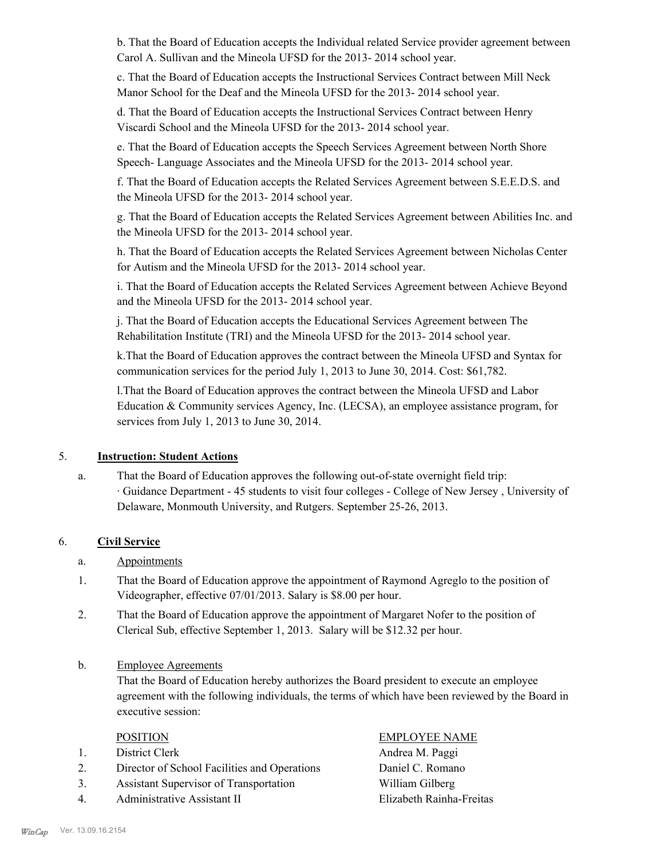b. That the Board of Education accepts the Individual related Service provider agreement between Carol A. Sullivan and the Mineola UFSD for the 2013- 2014 school year.

c. That the Board of Education accepts the Instructional Services Contract between Mill Neck Manor School for the Deaf and the Mineola UFSD for the 2013- 2014 school year.

d. That the Board of Education accepts the Instructional Services Contract between Henry Viscardi School and the Mineola UFSD for the 2013- 2014 school year.

e. That the Board of Education accepts the Speech Services Agreement between North Shore Speech- Language Associates and the Mineola UFSD for the 2013- 2014 school year.

f. That the Board of Education accepts the Related Services Agreement between S.E.E.D.S. and the Mineola UFSD for the 2013- 2014 school year.

g. That the Board of Education accepts the Related Services Agreement between Abilities Inc. and the Mineola UFSD for the 2013- 2014 school year.

h. That the Board of Education accepts the Related Services Agreement between Nicholas Center for Autism and the Mineola UFSD for the 2013- 2014 school year.

i. That the Board of Education accepts the Related Services Agreement between Achieve Beyond and the Mineola UFSD for the 2013- 2014 school year.

j. That the Board of Education accepts the Educational Services Agreement between The Rehabilitation Institute (TRI) and the Mineola UFSD for the 2013- 2014 school year.

k.That the Board of Education approves the contract between the Mineola UFSD and Syntax for communication services for the period July 1, 2013 to June 30, 2014. Cost: \$61,782.

l.That the Board of Education approves the contract between the Mineola UFSD and Labor Education & Community services Agency, Inc. (LECSA), an employee assistance program, for services from July 1, 2013 to June 30, 2014.

# 5. **Instruction: Student Actions**

That the Board of Education approves the following out-of-state overnight field trip: · Guidance Department - 45 students to visit four colleges - College of New Jersey , University of Delaware, Monmouth University, and Rutgers. September 25-26, 2013. a.

# 6. **Civil Service**

- a. Appointments
- That the Board of Education approve the appointment of Raymond Agreglo to the position of Videographer, effective 07/01/2013. Salary is \$8.00 per hour. 1.
- That the Board of Education approve the appointment of Margaret Nofer to the position of Clerical Sub, effective September 1, 2013. Salary will be \$12.32 per hour. 2.
- Employee Agreements b.

That the Board of Education hereby authorizes the Board president to execute an employee agreement with the following individuals, the terms of which have been reviewed by the Board in executive session:

- 1. District Clerk **Andrea M. Paggi**
- 2. Director of School Facilities and Operations Daniel C. Romano
- 3. Assistant Supervisor of Transportation William Gilberg
- 4. Administrative Assistant II Elizabeth Rainha-Freitas

# POSITION EMPLOYEE NAME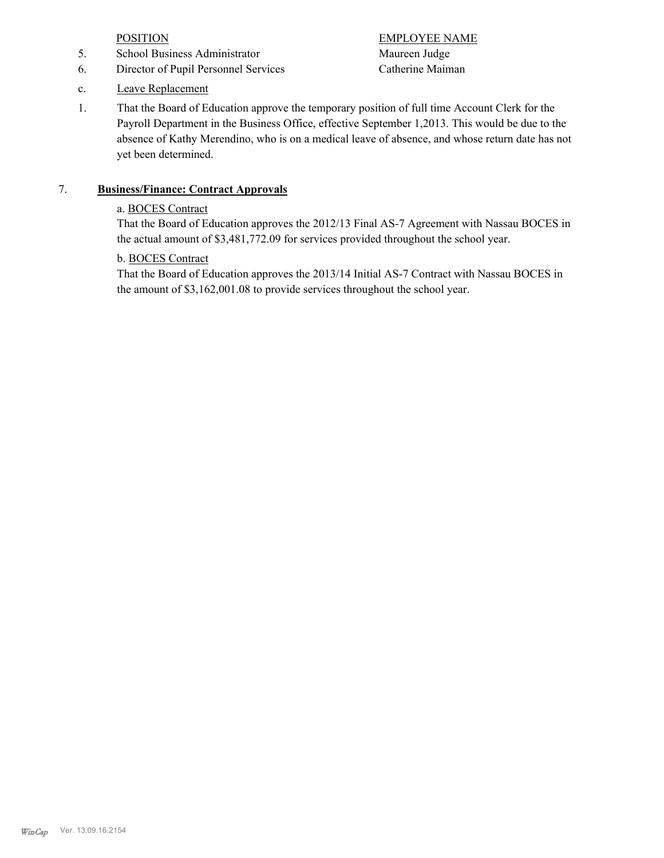- 5. School Business Administrator Maureen Judge
- 6. Director of Pupil Personnel Services Catherine Maiman

POSITION EMPLOYEE NAME

- c. Leave Replacement
- That the Board of Education approve the temporary position of full time Account Clerk for the Payroll Department in the Business Office, effective September 1,2013. This would be due to the absence of Kathy Merendino, who is on a medical leave of absence, and whose return date has not yet been determined. 1.

# 7. **Business/Finance: Contract Approvals**

# a. BOCES Contract

That the Board of Education approves the 2012/13 Final AS-7 Agreement with Nassau BOCES in the actual amount of \$3,481,772.09 for services provided throughout the school year.

# b. BOCES Contract

That the Board of Education approves the 2013/14 Initial AS-7 Contract with Nassau BOCES in the amount of \$3,162,001.08 to provide services throughout the school year.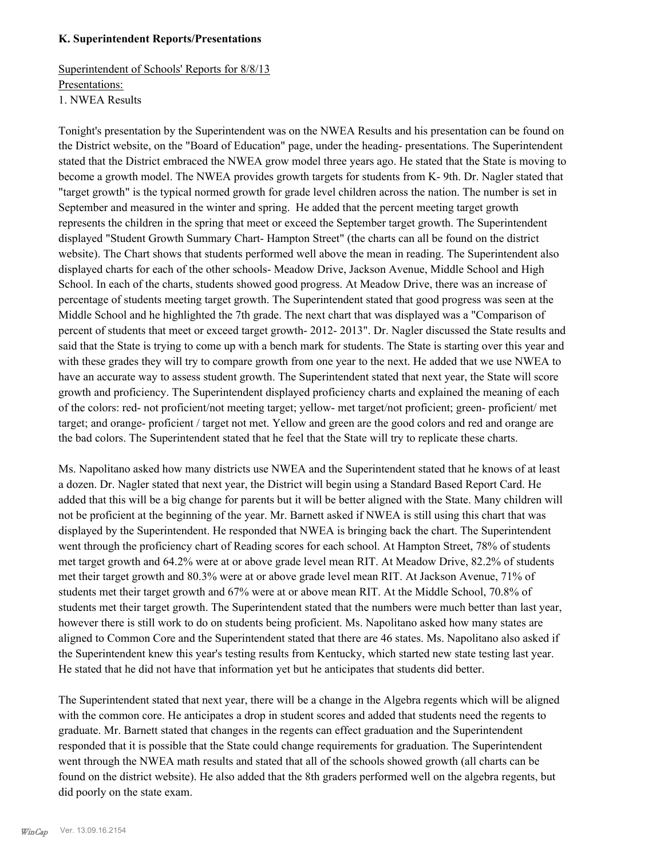#### **K. Superintendent Reports/Presentations**

Superintendent of Schools' Reports for 8/8/13 Presentations: 1. NWEA Results

Tonight's presentation by the Superintendent was on the NWEA Results and his presentation can be found on the District website, on the "Board of Education" page, under the heading- presentations. The Superintendent stated that the District embraced the NWEA grow model three years ago. He stated that the State is moving to become a growth model. The NWEA provides growth targets for students from K- 9th. Dr. Nagler stated that "target growth" is the typical normed growth for grade level children across the nation. The number is set in September and measured in the winter and spring. He added that the percent meeting target growth represents the children in the spring that meet or exceed the September target growth. The Superintendent displayed "Student Growth Summary Chart- Hampton Street" (the charts can all be found on the district website). The Chart shows that students performed well above the mean in reading. The Superintendent also displayed charts for each of the other schools- Meadow Drive, Jackson Avenue, Middle School and High School. In each of the charts, students showed good progress. At Meadow Drive, there was an increase of percentage of students meeting target growth. The Superintendent stated that good progress was seen at the Middle School and he highlighted the 7th grade. The next chart that was displayed was a "Comparison of percent of students that meet or exceed target growth- 2012- 2013". Dr. Nagler discussed the State results and said that the State is trying to come up with a bench mark for students. The State is starting over this year and with these grades they will try to compare growth from one year to the next. He added that we use NWEA to have an accurate way to assess student growth. The Superintendent stated that next year, the State will score growth and proficiency. The Superintendent displayed proficiency charts and explained the meaning of each of the colors: red- not proficient/not meeting target; yellow- met target/not proficient; green- proficient/ met target; and orange- proficient / target not met. Yellow and green are the good colors and red and orange are the bad colors. The Superintendent stated that he feel that the State will try to replicate these charts.

Ms. Napolitano asked how many districts use NWEA and the Superintendent stated that he knows of at least a dozen. Dr. Nagler stated that next year, the District will begin using a Standard Based Report Card. He added that this will be a big change for parents but it will be better aligned with the State. Many children will not be proficient at the beginning of the year. Mr. Barnett asked if NWEA is still using this chart that was displayed by the Superintendent. He responded that NWEA is bringing back the chart. The Superintendent went through the proficiency chart of Reading scores for each school. At Hampton Street, 78% of students met target growth and 64.2% were at or above grade level mean RIT. At Meadow Drive, 82.2% of students met their target growth and 80.3% were at or above grade level mean RIT. At Jackson Avenue, 71% of students met their target growth and 67% were at or above mean RIT. At the Middle School, 70.8% of students met their target growth. The Superintendent stated that the numbers were much better than last year, however there is still work to do on students being proficient. Ms. Napolitano asked how many states are aligned to Common Core and the Superintendent stated that there are 46 states. Ms. Napolitano also asked if the Superintendent knew this year's testing results from Kentucky, which started new state testing last year. He stated that he did not have that information yet but he anticipates that students did better.

The Superintendent stated that next year, there will be a change in the Algebra regents which will be aligned with the common core. He anticipates a drop in student scores and added that students need the regents to graduate. Mr. Barnett stated that changes in the regents can effect graduation and the Superintendent responded that it is possible that the State could change requirements for graduation. The Superintendent went through the NWEA math results and stated that all of the schools showed growth (all charts can be found on the district website). He also added that the 8th graders performed well on the algebra regents, but did poorly on the state exam.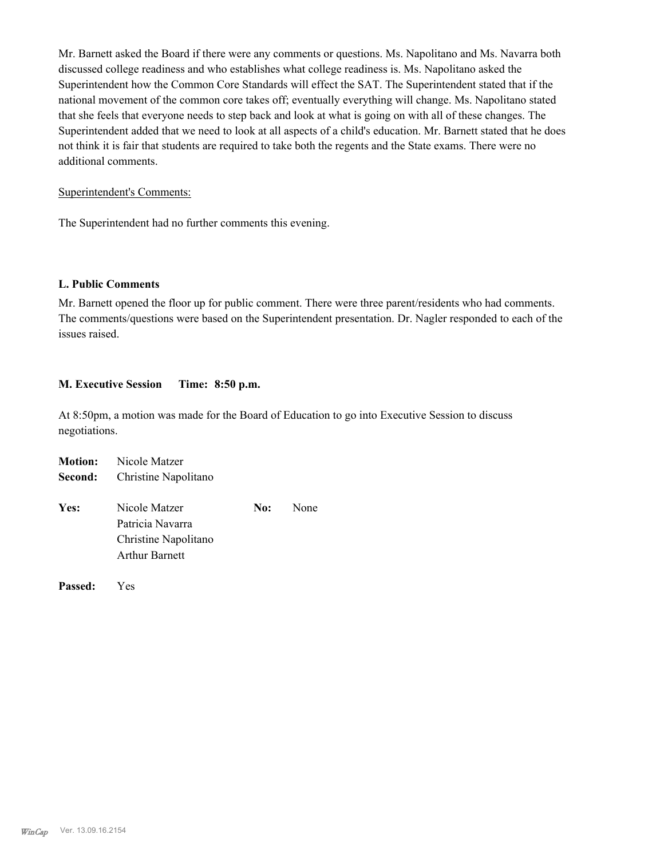Mr. Barnett asked the Board if there were any comments or questions. Ms. Napolitano and Ms. Navarra both discussed college readiness and who establishes what college readiness is. Ms. Napolitano asked the Superintendent how the Common Core Standards will effect the SAT. The Superintendent stated that if the national movement of the common core takes off; eventually everything will change. Ms. Napolitano stated that she feels that everyone needs to step back and look at what is going on with all of these changes. The Superintendent added that we need to look at all aspects of a child's education. Mr. Barnett stated that he does not think it is fair that students are required to take both the regents and the State exams. There were no additional comments.

#### Superintendent's Comments:

The Superintendent had no further comments this evening.

#### **L. Public Comments**

Mr. Barnett opened the floor up for public comment. There were three parent/residents who had comments. The comments/questions were based on the Superintendent presentation. Dr. Nagler responded to each of the issues raised.

#### **M. Executive Session Time: 8:50 p.m.**

At 8:50pm, a motion was made for the Board of Education to go into Executive Session to discuss negotiations.

|         | <b>Motion:</b> Nicole Matzer                                                       |     |      |  |  |
|---------|------------------------------------------------------------------------------------|-----|------|--|--|
| Second: | Christine Napolitano                                                               |     |      |  |  |
| Yes:    | Nicole Matzer<br>Patricia Navarra<br>Christine Napolitano<br><b>Arthur Barnett</b> | No: | None |  |  |
|         |                                                                                    |     |      |  |  |

**Passed:** Yes